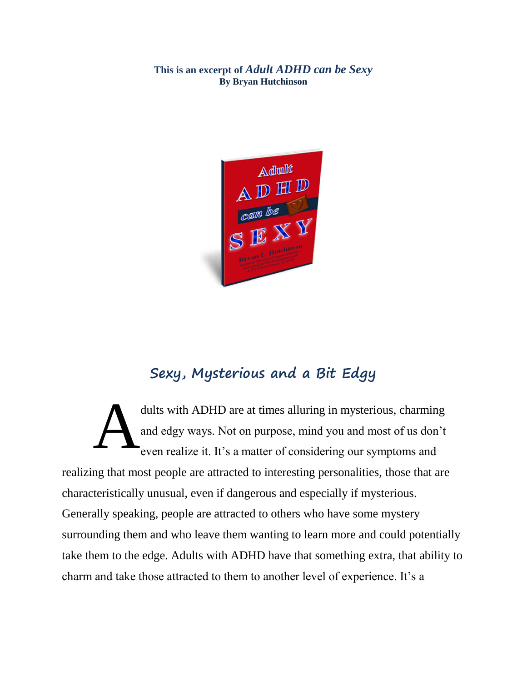**This is an excerpt of** *Adult ADHD can be Sexy* **By Bryan Hutchinson**



## **Sexy, Mysterious and a Bit Edgy**

dults with ADHD are at times alluring in mysterious, charming and edgy ways. Not on purpose, mind you and most of us don't even realize it. It's a matter of considering our symptoms and realizing that most people are attracted to interesting personalities, those that are characteristically unusual, even if dangerous and especially if mysterious. Generally speaking, people are attracted to others who have some mystery surrounding them and who leave them wanting to learn more and could potentially take them to the edge. Adults with ADHD have that something extra, that ability to charm and take those attracted to them to another level of experience. It's a A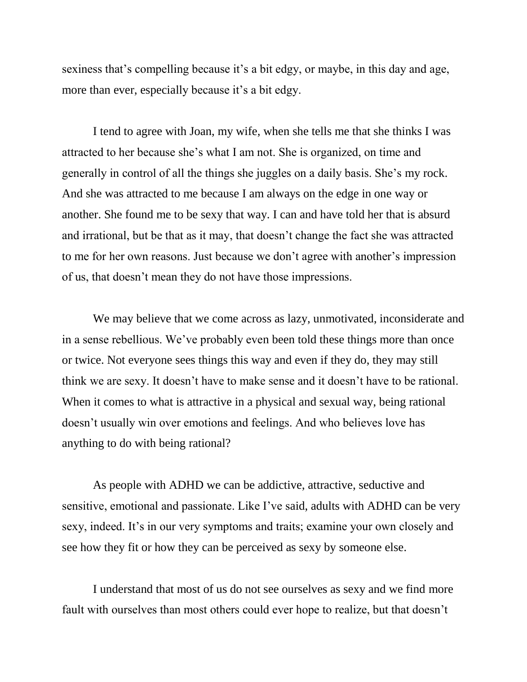sexiness that's compelling because it's a bit edgy, or maybe, in this day and age, more than ever, especially because it's a bit edgy.

I tend to agree with Joan, my wife, when she tells me that she thinks I was attracted to her because she's what I am not. She is organized, on time and generally in control of all the things she juggles on a daily basis. She's my rock. And she was attracted to me because I am always on the edge in one way or another. She found me to be sexy that way. I can and have told her that is absurd and irrational, but be that as it may, that doesn't change the fact she was attracted to me for her own reasons. Just because we don't agree with another's impression of us, that doesn't mean they do not have those impressions.

We may believe that we come across as lazy, unmotivated, inconsiderate and in a sense rebellious. We've probably even been told these things more than once or twice. Not everyone sees things this way and even if they do, they may still think we are sexy. It doesn't have to make sense and it doesn't have to be rational. When it comes to what is attractive in a physical and sexual way, being rational doesn't usually win over emotions and feelings. And who believes love has anything to do with being rational?

As people with ADHD we can be addictive, attractive, seductive and sensitive, emotional and passionate. Like I've said, adults with ADHD can be very sexy, indeed. It's in our very symptoms and traits; examine your own closely and see how they fit or how they can be perceived as sexy by someone else.

I understand that most of us do not see ourselves as sexy and we find more fault with ourselves than most others could ever hope to realize, but that doesn't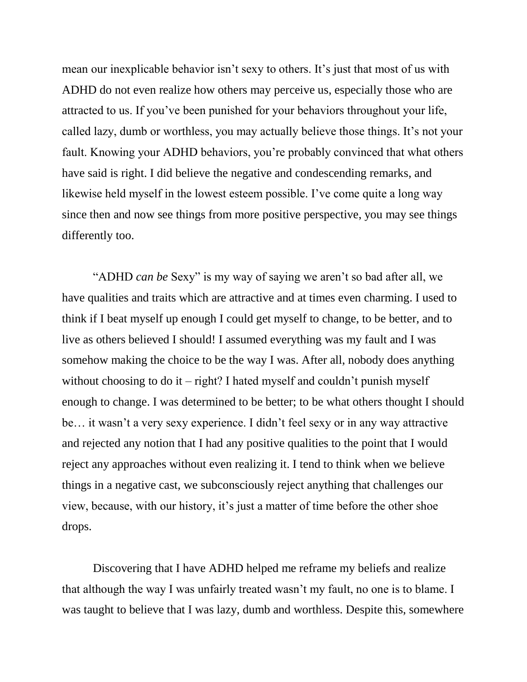mean our inexplicable behavior isn't sexy to others. It's just that most of us with ADHD do not even realize how others may perceive us, especially those who are attracted to us. If you've been punished for your behaviors throughout your life, called lazy, dumb or worthless, you may actually believe those things. It's not your fault. Knowing your ADHD behaviors, you're probably convinced that what others have said is right. I did believe the negative and condescending remarks, and likewise held myself in the lowest esteem possible. I've come quite a long way since then and now see things from more positive perspective, you may see things differently too.

"ADHD *can be* Sexy" is my way of saying we aren't so bad after all, we have qualities and traits which are attractive and at times even charming. I used to think if I beat myself up enough I could get myself to change, to be better, and to live as others believed I should! I assumed everything was my fault and I was somehow making the choice to be the way I was. After all, nobody does anything without choosing to do it – right? I hated myself and couldn't punish myself enough to change. I was determined to be better; to be what others thought I should be… it wasn't a very sexy experience. I didn't feel sexy or in any way attractive and rejected any notion that I had any positive qualities to the point that I would reject any approaches without even realizing it. I tend to think when we believe things in a negative cast, we subconsciously reject anything that challenges our view, because, with our history, it's just a matter of time before the other shoe drops.

Discovering that I have ADHD helped me reframe my beliefs and realize that although the way I was unfairly treated wasn't my fault, no one is to blame. I was taught to believe that I was lazy, dumb and worthless. Despite this, somewhere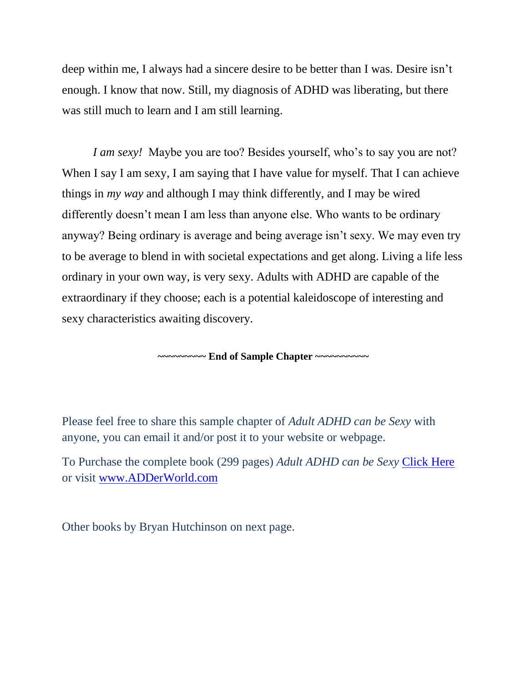deep within me, I always had a sincere desire to be better than I was. Desire isn't enough. I know that now. Still, my diagnosis of ADHD was liberating, but there was still much to learn and I am still learning.

*I am sexy!* Maybe you are too? Besides yourself, who's to say you are not? When I say I am sexy, I am saying that I have value for myself. That I can achieve things in *my way* and although I may think differently, and I may be wired differently doesn't mean I am less than anyone else. Who wants to be ordinary anyway? Being ordinary is average and being average isn't sexy. We may even try to be average to blend in with societal expectations and get along. Living a life less ordinary in your own way, is very sexy. Adults with ADHD are capable of the extraordinary if they choose; each is a potential kaleidoscope of interesting and sexy characteristics awaiting discovery.

**~~~~~~~~~ End of Sample Chapter ~~~~~~~~~~**

Please feel free to share this sample chapter of *Adult ADHD can be Sexy* with anyone, you can email it and/or post it to your website or webpage.

To Purchase the complete book (299 pages) *Adult ADHD can be Sexy* [Click Here](http://www.adderworld.com/blog1/books-by-bryan-hutchinson/) or visit [www.ADDerWorld.com](http://www.adderworld.com/)

Other books by Bryan Hutchinson on next page.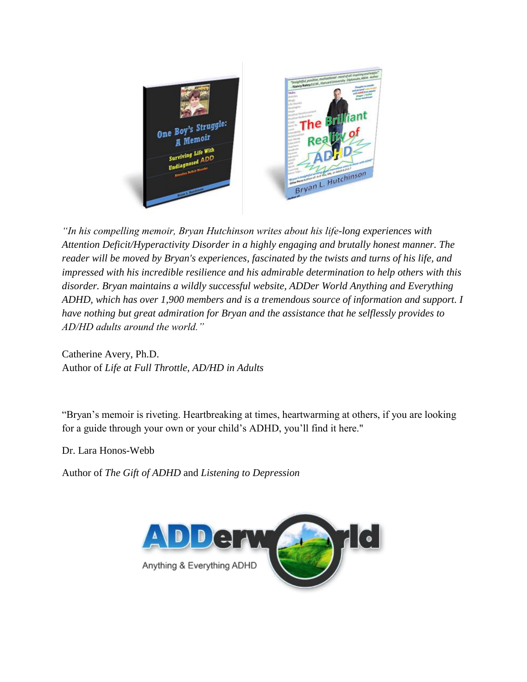

*"In his compelling memoir, Bryan Hutchinson writes about his life-long experiences with Attention Deficit/Hyperactivity Disorder in a highly engaging and brutally honest manner. The reader will be moved by Bryan's experiences, fascinated by the twists and turns of his life, and impressed with his incredible resilience and his admirable determination to help others with this disorder. Bryan maintains a wildly successful website, ADDer World Anything and Everything ADHD, which has over 1,900 members and is a tremendous source of information and support. I have nothing but great admiration for Bryan and the assistance that he selflessly provides to AD/HD adults around the world."*

Catherine Avery, Ph.D. Author of *Life at Full Throttle, AD/HD in Adults*

"Bryan's memoir is riveting. Heartbreaking at times, heartwarming at others, if you are looking for a guide through your own or your child's ADHD, you'll find it here."

Dr. Lara Honos-Webb

Author of *The Gift of ADHD* and *Listening to Depression*